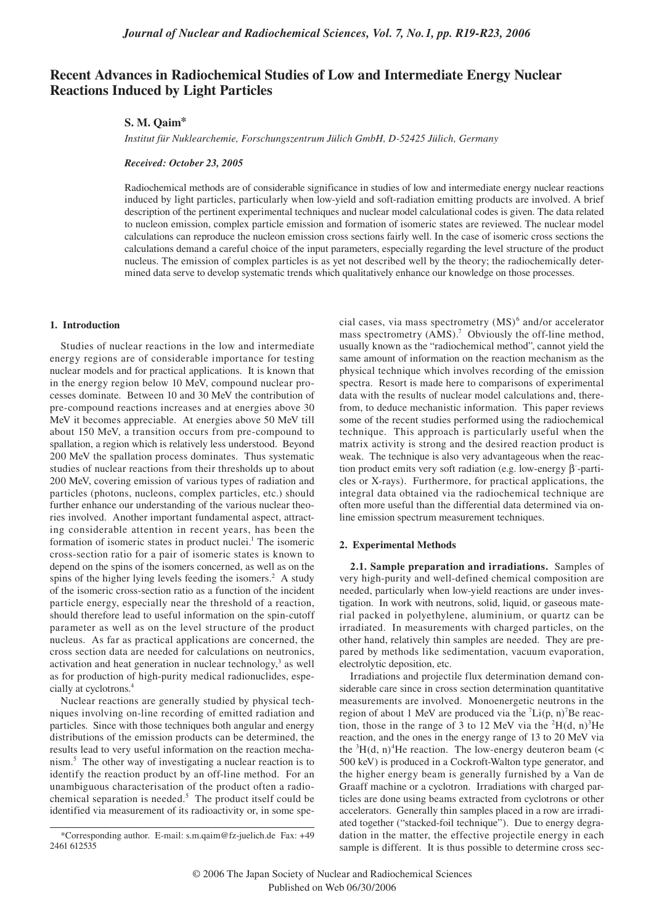# **Recent Advances in Radiochemical Studies of Low and Intermediate Energy Nuclear Reactions Induced by Light Particles**

# **S. M. Qaim\***

*Institut für Nuklearchemie, Forschungszentrum Jülich GmbH, D-52425 Jülich, Germany*

#### *Received: October 23, 2005*

Radiochemical methods are of considerable significance in studies of low and intermediate energy nuclear reactions induced by light particles, particularly when low-yield and soft-radiation emitting products are involved. A brief description of the pertinent experimental techniques and nuclear model calculational codes is given. The data related to nucleon emission, complex particle emission and formation of isomeric states are reviewed. The nuclear model calculations can reproduce the nucleon emission cross sections fairly well. In the case of isomeric cross sections the calculations demand a careful choice of the input parameters, especially regarding the level structure of the product nucleus. The emission of complex particles is as yet not described well by the theory; the radiochemically determined data serve to develop systematic trends which qualitatively enhance our knowledge on those processes.

# **1. Introduction**

Studies of nuclear reactions in the low and intermediate energy regions are of considerable importance for testing nuclear models and for practical applications. It is known that in the energy region below 10 MeV, compound nuclear processes dominate. Between 10 and 30 MeV the contribution of pre-compound reactions increases and at energies above 30 MeV it becomes appreciable. At energies above 50 MeV till about 150 MeV, a transition occurs from pre-compound to spallation, a region which is relatively less understood. Beyond 200 MeV the spallation process dominates. Thus systematic studies of nuclear reactions from their thresholds up to about 200 MeV, covering emission of various types of radiation and particles (photons, nucleons, complex particles, etc.) should further enhance our understanding of the various nuclear theories involved. Another important fundamental aspect, attracting considerable attention in recent years, has been the formation of isomeric states in product nuclei.<sup>1</sup> The isomeric cross-section ratio for a pair of isomeric states is known to depend on the spins of the isomers concerned, as well as on the spins of the higher lying levels feeding the isomers. $2$  A study of the isomeric cross-section ratio as a function of the incident particle energy, especially near the threshold of a reaction, should therefore lead to useful information on the spin-cutoff parameter as well as on the level structure of the product nucleus. As far as practical applications are concerned, the cross section data are needed for calculations on neutronics, activation and heat generation in nuclear technology,<sup>3</sup> as well as for production of high-purity medical radionuclides, especially at cyclotrons.4

Nuclear reactions are generally studied by physical techniques involving on-line recording of emitted radiation and particles. Since with those techniques both angular and energy distributions of the emission products can be determined, the results lead to very useful information on the reaction mechanism.5 The other way of investigating a nuclear reaction is to identify the reaction product by an off-line method. For an unambiguous characterisation of the product often a radiochemical separation is needed. $5$  The product itself could be identified via measurement of its radioactivity or, in some spe-

cial cases, via mass spectrometry  $(MS)^6$  and/or accelerator mass spectrometry (AMS).<sup>7</sup> Obviously the off-line method, usually known as the "radiochemical method", cannot yield the same amount of information on the reaction mechanism as the physical technique which involves recording of the emission spectra. Resort is made here to comparisons of experimental data with the results of nuclear model calculations and, therefrom, to deduce mechanistic information. This paper reviews some of the recent studies performed using the radiochemical technique. This approach is particularly useful when the matrix activity is strong and the desired reaction product is weak. The technique is also very advantageous when the reaction product emits very soft radiation (e.g. low-energy β-particles or X-rays). Furthermore, for practical applications, the integral data obtained via the radiochemical technique are often more useful than the differential data determined via online emission spectrum measurement techniques.

# **2. Experimental Methods**

**2.1. Sample preparation and irradiations.** Samples of very high-purity and well-defined chemical composition are needed, particularly when low-yield reactions are under investigation. In work with neutrons, solid, liquid, or gaseous material packed in polyethylene, aluminium, or quartz can be irradiated. In measurements with charged particles, on the other hand, relatively thin samples are needed. They are prepared by methods like sedimentation, vacuum evaporation, electrolytic deposition, etc.

Irradiations and projectile flux determination demand considerable care since in cross section determination quantitative measurements are involved. Monoenergetic neutrons in the region of about 1 MeV are produced via the  ${}^{7}$ Li(p, n)<sup>7</sup>Be reaction, those in the range of 3 to 12 MeV via the  ${}^{2}H(d, n){}^{3}He$ reaction, and the ones in the energy range of 13 to 20 MeV via the  ${}^{3}H(d, n)$ <sup>4</sup>He reaction. The low-energy deuteron beam (< 500 keV) is produced in a Cockroft-Walton type generator, and the higher energy beam is generally furnished by a Van de Graaff machine or a cyclotron. Irradiations with charged particles are done using beams extracted from cyclotrons or other accelerators. Generally thin samples placed in a row are irradiated together ("stacked-foil technique"). Due to energy degradation in the matter, the effective projectile energy in each sample is different. It is thus possible to determine cross sec-

<sup>\*</sup>Corresponding author. E-mail: s.m.qaim@fz-juelich.de Fax: +49 2461 612535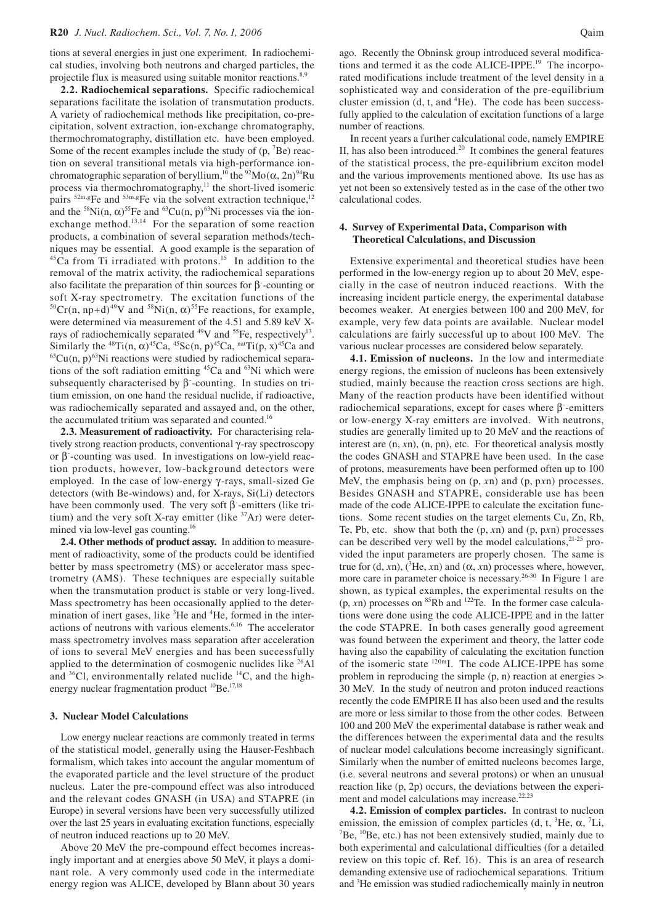tions at several energies in just one experiment. In radiochemical studies, involving both neutrons and charged particles, the projectile flux is measured using suitable monitor reactions.<sup>8,9</sup>

**2.2. Radiochemical separations.** Specific radiochemical separations facilitate the isolation of transmutation products. A variety of radiochemical methods like precipitation, co-precipitation, solvent extraction, ion-exchange chromatography, thermochromatography, distillation etc. have been employed. Some of the recent examples include the study of  $(p,{}^{7}Be)$  reaction on several transitional metals via high-performance ionchromatographic separation of beryllium,<sup>10</sup> the <sup>92</sup>Mo( $\alpha$ , 2n)<sup>94</sup>Ru process via thermochromatography, $\frac{11}{11}$  the short-lived isomeric pairs  $^{52m,g}$ Fe and  $^{53m,g}$ Fe via the solvent extraction technique,<sup>12</sup> and the <sup>58</sup>Ni(n,  $\alpha$ )<sup>55</sup>Fe and <sup>63</sup>Cu(n, p)<sup>63</sup>Ni processes via the ionexchange method.<sup>13,14</sup> For the separation of some reaction products, a combination of several separation methods/techniques may be essential. A good example is the separation of  $45$ Ca from Ti irradiated with protons.<sup>15</sup> In addition to the removal of the matrix activity, the radiochemical separations also facilitate the preparation of thin sources for  $\beta$ -counting or soft X-ray spectrometry. The excitation functions of the <sup>50</sup>Cr(n, np+d)<sup>49</sup>V and <sup>58</sup>Ni(n,  $\alpha$ )<sup>55</sup>Fe reactions, for example, were determined via measurement of the 4.51 and 5.89 keV Xrays of radiochemically separated  $^{49}V$  and  $^{55}Fe$ , respectively<sup>13</sup>. Similarly the <sup>48</sup>Ti(n,  $\alpha$ )<sup>45</sup>Ca, <sup>45</sup>Sc(n, p)<sup>45</sup>Ca, <sup>nat</sup>Ti(p, x)<sup>45</sup>Ca and <sup>63</sup>Cu(n, p)<sup>63</sup>Ni reactions were studied by radiochemical separations of the soft radiation emitting  $45Ca$  and  $63Ni$  which were subsequently characterised by  $\beta$ -counting. In studies on tritium emission, on one hand the residual nuclide, if radioactive, was radiochemically separated and assayed and, on the other, the accumulated tritium was separated and counted.<sup>16</sup>

**2.3. Measurement of radioactivity.** For characterising relatively strong reaction products, conventional γ-ray spectroscopy or β- -counting was used. In investigations on low-yield reaction products, however, low-background detectors were employed. In the case of low-energy γ -rays, small-sized Ge detectors (with Be-windows) and, for X-rays, Si(Li) detectors have been commonly used. The very soft  $\beta$  -emitters (like tritium) and the very soft X-ray emitter (like  $37Ar$ ) were determined via low-level gas counting.<sup>16</sup>

**2.4. Other methods of product assay.** In addition to measurement of radioactivity, some of the products could be identified better by mass spectrometry (MS) or accelerator mass spectrometry (AMS). These techniques are especially suitable when the transmutation product is stable or very long-lived. Mass spectrometry has been occasionally applied to the determination of inert gases, like <sup>3</sup>He and <sup>4</sup>He, formed in the interactions of neutrons with various elements.<sup>6,16</sup> The accelerator mass spectrometry involves mass separation after acceleration of ions to several MeV energies and has been successfully applied to the determination of cosmogenic nuclides like  $^{26}$ Al and  $36$ Cl, environmentally related nuclide  $14$ C, and the highenergy nuclear fragmentation product <sup>10</sup>Be.<sup>17,18</sup>

#### **3. Nuclear Model Calculations**

Low energy nuclear reactions are commonly treated in terms of the statistical model, generally using the Hauser-Feshbach formalism, which takes into account the angular momentum of the evaporated particle and the level structure of the product nucleus. Later the pre-compound effect was also introduced and the relevant codes GNASH (in USA) and STAPRE (in Europe) in several versions have been very successfully utilized over the last 25 years in evaluating excitation functions, especially of neutron induced reactions up to 20 MeV.

Above 20 MeV the pre-compound effect becomes increasingly important and at energies above 50 MeV, it plays a dominant role. A very commonly used code in the intermediate energy region was ALICE, developed by Blann about 30 years

ago. Recently the Obninsk group introduced several modifications and termed it as the code ALICE-IPPE.<sup>19</sup> The incorporated modifications include treatment of the level density in a sophisticated way and consideration of the pre-equilibrium cluster emission  $(d, t, and <sup>4</sup>He)$ . The code has been successfully applied to the calculation of excitation functions of a large number of reactions.

In recent years a further calculational code, namely EMPIRE II, has also been introduced. $20$  It combines the general features of the statistical process, the pre-equilibrium exciton model and the various improvements mentioned above. Its use has as yet not been so extensively tested as in the case of the other two calculational codes.

## **4. Survey of Experimental Data, Comparison with Theoretical Calculations, and Discussion**

Extensive experimental and theoretical studies have been performed in the low-energy region up to about 20 MeV, especially in the case of neutron induced reactions. With the increasing incident particle energy, the experimental database becomes weaker. At energies between 100 and 200 MeV, for example, very few data points are available. Nuclear model calculations are fairly successful up to about 100 MeV. The various nuclear processes are considered below separately.

**4.1. Emission of nucleons.** In the low and intermediate energy regions, the emission of nucleons has been extensively studied, mainly because the reaction cross sections are high. Many of the reaction products have been identified without radiochemical separations, except for cases where  $β$ -emitters or low-energy X-ray emitters are involved. With neutrons, studies are generally limited up to 20 MeV and the reactions of interest are (n, *x*n), (n, pn), etc. For theoretical analysis mostly the codes GNASH and STAPRE have been used. In the case of protons, measurements have been performed often up to 100 MeV, the emphasis being on (p, *x*n) and (p, p*x*n) processes. Besides GNASH and STAPRE, considerable use has been made of the code ALICE-IPPE to calculate the excitation functions. Some recent studies on the target elements Cu, Zn, Rb, Te, Pb, etc. show that both the (p, *x*n) and (p, p*x*n) processes can be described very well by the model calculations, $2^{1-25}$  provided the input parameters are properly chosen. The same is true for  $(d, xn)$ ,  $({}^{3}He, xn)$  and  $(\alpha, xn)$  processes where, however, more care in parameter choice is necessary.26-30 In Figure 1 are shown, as typical examples, the experimental results on the  $(p, xn)$  processes on <sup>85</sup>Rb and <sup>122</sup>Te. In the former case calculations were done using the code ALICE-IPPE and in the latter the code STAPRE. In both cases generally good agreement was found between the experiment and theory, the latter code having also the capability of calculating the excitation function of the isomeric state 120mI. The code ALICE-IPPE has some problem in reproducing the simple (p, n) reaction at energies > 30 MeV. In the study of neutron and proton induced reactions recently the code EMPIRE II has also been used and the results are more or less similar to those from the other codes. Between 100 and 200 MeV the experimental database is rather weak and the differences between the experimental data and the results of nuclear model calculations become increasingly significant. Similarly when the number of emitted nucleons becomes large, (i.e. several neutrons and several protons) or when an unusual reaction like (p, 2p) occurs, the deviations between the experiment and model calculations may increase.<sup>22,23</sup>

**4.2. Emission of complex particles.** In contrast to nucleon emission, the emission of complex particles (d, t, <sup>3</sup>He,  $\alpha$ , <sup>7</sup>Li, <sup>7</sup>Be, <sup>10</sup>Be, etc.) has not been extensively studied, mainly due to  ${}^{7}Be$ ,  ${}^{10}Be$ , etc.) has not been extensively studied, mainly due to both experimental and calculational difficulties (for a detailed review on this topic cf. Ref. 16). This is an area of research demanding extensive use of radiochemical separations. Tritium and <sup>3</sup>He emission was studied radiochemically mainly in neutron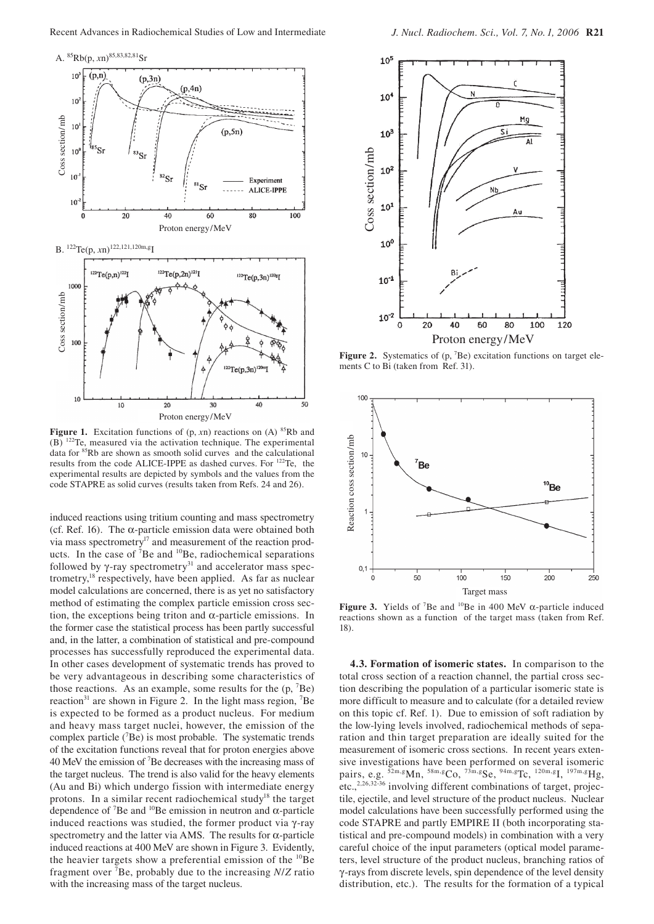



Figure 1. Excitation functions of (p, *xn*) reactions on (A) <sup>85</sup>Rb and (B) 122Te, measured via the activation technique. The experimental data for 85Rb are shown as smooth solid curves and the calculational results from the code ALICE-IPPE as dashed curves. For 122Te, the experimental results are depicted by symbols and the values from the code STAPRE as solid curves (results taken from Refs. 24 and 26).

induced reactions using tritium counting and mass spectrometry (cf. Ref. 16). The  $\alpha$ -particle emission data were obtained both via mass spectrometry<sup>17</sup> and measurement of the reaction products. In the case of <sup>7</sup>Be and <sup>10</sup>Be, radiochemical separations followed by  $\gamma$ -ray spectrometry<sup>31</sup> and accelerator mass spectrometry, $^{18}$  respectively, have been applied. As far as nuclear model calculations are concerned, there is as yet no satisfactory method of estimating the complex particle emission cross section, the exceptions being triton and  $\alpha$ -particle emissions. In the former case the statistical process has been partly successful and, in the latter, a combination of statistical and pre-compound processes has successfully reproduced the experimental data. In other cases development of systematic trends has proved to be very advantageous in describing some characteristics of those reactions. As an example, some results for the  $(p, {}^{7}Be)$ reaction<sup>31</sup> are shown in Figure 2. In the light mass region,  ${}^{7}Be$ is expected to be formed as a product nucleus. For medium and heavy mass target nuclei, however, the emission of the complex particle  $(^{7}Be)$  is most probable. The systematic trends of the excitation functions reveal that for proton energies above 40 MeV the emission of 7 Be decreases with the increasing mass of the target nucleus. The trend is also valid for the heavy elements (Au and Bi) which undergo fission with intermediate energy protons. In a similar recent radiochemical study<sup>18</sup> the target dependence of <sup>7</sup>Be and <sup>10</sup>Be emission in neutron and  $\alpha$ -particle induced reactions was studied, the former product via γ-ray spectrometry and the latter via AMS. The results for  $\alpha$ -particle induced reactions at 400 MeV are shown in Figure 3. Evidently, the heavier targets show a preferential emission of the  $^{10}$ Be fragment over 7 Be, probably due to the increasing *N*/*Z* ratio with the increasing mass of the target nucleus.



Figure 2. Systematics of (p, <sup>7</sup>Be) excitation functions on target elements C to Bi (taken from Ref. 31).



**Figure 3.** Yields of <sup>7</sup>Be and <sup>10</sup>Be in 400 MeV  $\alpha$ -particle induced reactions shown as a function of the target mass (taken from Ref. 18).

**4.3. Formation of isomeric states.** In comparison to the total cross section of a reaction channel, the partial cross section describing the population of a particular isomeric state is more difficult to measure and to calculate (for a detailed review on this topic cf. Ref. 1). Due to emission of soft radiation by the low-lying levels involved, radiochemical methods of separation and thin target preparation are ideally suited for the measurement of isomeric cross sections. In recent years extensive investigations have been performed on several isomeric pairs, e.g.  $\frac{52 \text{m}}{8} \text{Mn}$ ,  $\frac{58 \text{m}}{8} \text{Co}$ ,  $\frac{73 \text{m}}{8} \text{S} \text{e}$ ,  $\frac{94 \text{m}}{8} \text{Tc}$ ,  $\frac{120 \text{m}}{8} \text{I}$ ,  $\frac{197 \text{m}}{8} \text{Hg}$ , etc.,<sup>2,26,32-36</sup> involving different combinations of target, projectile, ejectile, and level structure of the product nucleus. Nuclear model calculations have been successfully performed using the code STAPRE and partly EMPIRE II (both incorporating statistical and pre-compound models) in combination with a very careful choice of the input parameters (optical model parameters, level structure of the product nucleus, branching ratios of γ -rays from discrete levels, spin dependence of the level density distribution, etc.). The results for the formation of a typical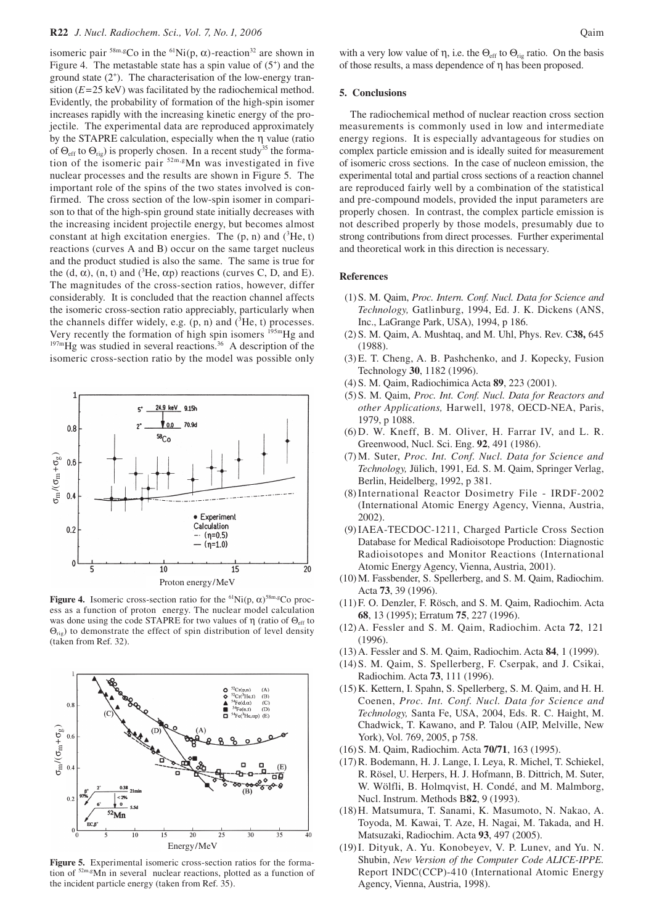# **R22** *J. Nucl. Radiochem. Sci., Vol. 7, No. 1, 2006* Qaim

isomeric pair  ${}^{58m, g}$ Co in the  ${}^{61}$ Ni(p,  $\alpha$ )-reaction<sup>32</sup> are shown in Figure 4. The metastable state has a spin value of  $(5^+)$  and the ground state (2+ ). The characterisation of the low-energy transition (*E*=25 keV) was facilitated by the radiochemical method. Evidently, the probability of formation of the high-spin isomer increases rapidly with the increasing kinetic energy of the projectile. The experimental data are reproduced approximately by the STAPRE calculation, especially when the η value (ratio of  $\Theta_{\text{eff}}$  to  $\Theta_{\text{ri}}$ ) is properly chosen. In a recent study<sup>35</sup> the formation of the isomeric pair  $52m, g/m$  was investigated in five nuclear processes and the results are shown in Figure 5. The important role of the spins of the two states involved is confirmed. The cross section of the low-spin isomer in comparison to that of the high-spin ground state initially decreases with the increasing incident projectile energy, but becomes almost constant at high excitation energies. The  $(p, n)$  and  $({}^{3}He, t)$ reactions (curves A and B) occur on the same target nucleus and the product studied is also the same. The same is true for the  $(d, \alpha)$ ,  $(n, t)$  and  $({}^{3}He, \alpha p)$  reactions (curves C, D, and E). The magnitudes of the cross-section ratios, however, differ considerably. It is concluded that the reaction channel affects the isomeric cross-section ratio appreciably, particularly when the channels differ widely, e.g.  $(p, n)$  and  $(3He, t)$  processes. Very recently the formation of high spin isomers  $^{195m}$ Hg and  $^{197m}$ Hg was studied in several reactions.<sup>36</sup> A description of the isomeric cross-section ratio by the model was possible only



**Figure 4.** Isomeric cross-section ratio for the  ${}^{61}\text{Ni}(p, \alpha) {}^{58m,g}$ Co process as a function of proton energy. The nuclear model calculation was done using the code STAPRE for two values of η (ratio of  $Θ_{eff}$  to  $\Theta_{\text{rie}}$ ) to demonstrate the effect of spin distribution of level density (taken from Ref. 32).



**Figure 5.** Experimental isomeric cross-section ratios for the formation of  $52m, g$ Mn in several nuclear reactions, plotted as a function of the incident particle energy (taken from Ref. 35).

with a very low value of  $\eta$ , i.e. the  $\Theta_{\text{eff}}$  to  $\Theta_{\text{rig}}$  ratio. On the basis of those results, a mass dependence of η has been proposed.

#### **5. Conclusions**

The radiochemical method of nuclear reaction cross section measurements is commonly used in low and intermediate energy regions. It is especially advantageous for studies on complex particle emission and is ideally suited for measurement of isomeric cross sections. In the case of nucleon emission, the experimental total and partial cross sections of a reaction channel are reproduced fairly well by a combination of the statistical and pre-compound models, provided the input parameters are properly chosen. In contrast, the complex particle emission is not described properly by those models, presumably due to strong contributions from direct processes. Further experimental and theoretical work in this direction is necessary.

## **References**

- (1) S. M. Qaim, *Proc. Intern. Conf. Nucl. Data for Science and Technology,* Gatlinburg, 1994, Ed. J. K. Dickens (ANS, Inc., LaGrange Park, USA), 1994, p 186.
- (2) S. M. Qaim, A. Mushtaq, and M. Uhl, Phys. Rev. C**38,** 645 (1988).
- (3) E. T. Cheng, A. B. Pashchenko, and J. Kopecky, Fusion Technology **30**, 1182 (1996).
- (4) S. M. Qaim, Radiochimica Acta **89**, 223 (2001).
- (5) S. M. Qaim, *Proc. Int. Conf. Nucl. Data for Reactors and other Applications,* Harwell, 1978, OECD-NEA, Paris, 1979, p 1088.
- (6) D. W. Kneff, B. M. Oliver, H. Farrar IV, and L. R. Greenwood, Nucl. Sci. Eng. **92**, 491 (1986).
- (7) M. Suter, *Proc. Int. Conf. Nucl. Data for Science and Technology,* Jülich, 1991, Ed. S. M. Qaim, Springer Verlag, Berlin, Heidelberg, 1992, p 381.
- (8) International Reactor Dosimetry File IRDF-2002 (International Atomic Energy Agency, Vienna, Austria, 2002).
- (9) IAEA-TECDOC-1211, Charged Particle Cross Section Database for Medical Radioisotope Production: Diagnostic Radioisotopes and Monitor Reactions (International Atomic Energy Agency, Vienna, Austria, 2001).
- (10) M. Fassbender, S. Spellerberg, and S. M. Qaim, Radiochim. Acta **73**, 39 (1996).
- (11) F. O. Denzler, F. Rösch, and S. M. Qaim, Radiochim. Acta **68**, 13 (1995); Erratum **75**, 227 (1996).
- (12) A. Fessler and S. M. Qaim, Radiochim. Acta **72**, 121 (1996).
- (13) A. Fessler and S. M. Qaim, Radiochim. Acta **84**, 1 (1999).
- (14) S. M. Qaim, S. Spellerberg, F. Cserpak, and J. Csikai, Radiochim. Acta **73**, 111 (1996).
- (15) K. Kettern, I. Spahn, S. Spellerberg, S. M. Qaim, and H. H. Coenen, *Proc. Int. Conf. Nucl. Data for Science and Technology,* Santa Fe, USA, 2004, Eds. R. C. Haight, M. Chadwick, T. Kawano, and P. Talou (AIP, Melville, New York), Vol. 769, 2005, p 758.
- (16) S. M. Qaim, Radiochim. Acta **70/71**, 163 (1995).
- (17) R. Bodemann, H. J. Lange, I. Leya, R. Michel, T. Schiekel, R. Rösel, U. Herpers, H. J. Hofmann, B. Dittrich, M. Suter, W. Wölfli, B. Holmqvist, H. Condé, and M. Malmborg, Nucl. Instrum. Methods B**82**, 9 (1993).
- (18) H. Matsumura, T. Sanami, K. Masumoto, N. Nakao, A. Toyoda, M. Kawai, T. Aze, H. Nagai, M. Takada, and H. Matsuzaki, Radiochim. Acta **93**, 497 (2005).
- (19) I. Dityuk, A. Yu. Konobeyev, V. P. Lunev, and Yu. N. Shubin, *New Version of the Computer Code ALICE-IPPE.*  Report INDC(CCP)-410 (International Atomic Energy Agency, Vienna, Austria, 1998).